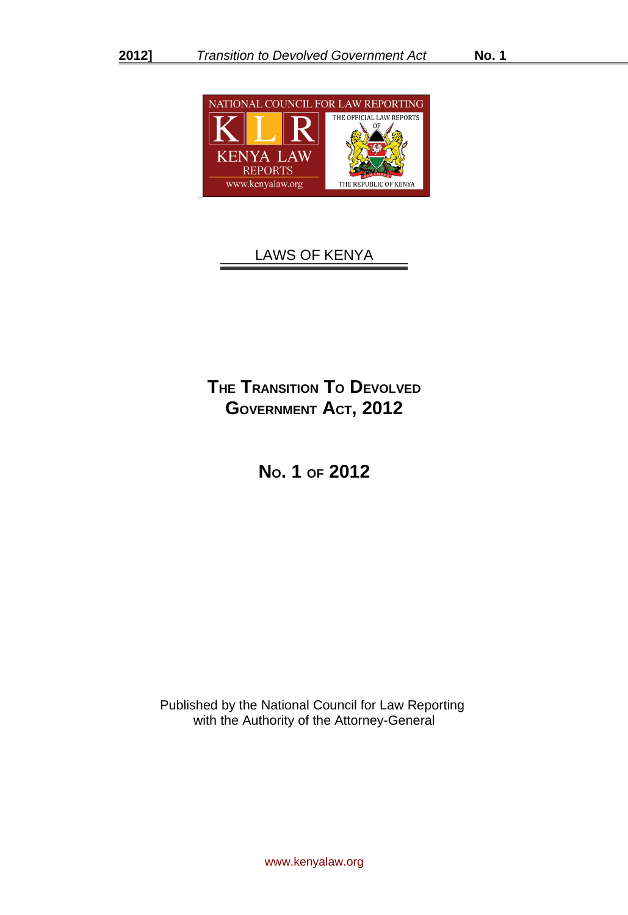

# LAWS OF KENYA

# **THE TRANSITION TO DEVOLVED GOVERNMENT ACT, 2012**

**NO. 1 OF 2012**

Published by the National Council for Law Reporting with the Authority of the Attorney-General

www.kenyalaw.org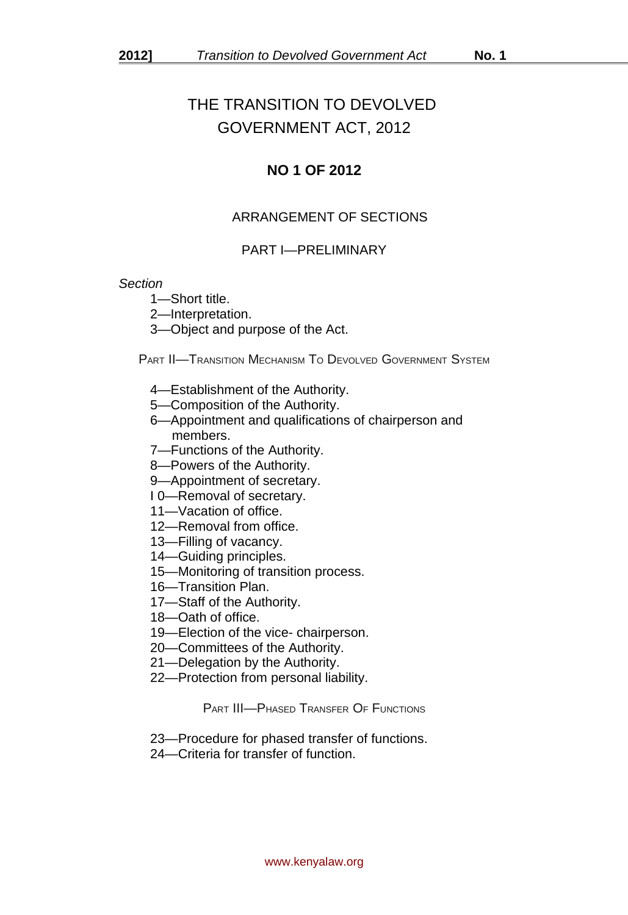# THE TRANSITION TO DEVOLVED GOVERNMENT ACT, 2012

# **NO 1 OF 2012**

# ARRANGEMENT OF SECTIONS

## PART I—PRELIMINARY

#### *Section*

1—Short title.

- 2—Interpretation.
- 3—Object and purpose of the Act.

PART II—TRANSITION MECHANISM TO DEVOLVED GOVERNMENT SYSTEM

- 4—Establishment of the Authority.
- 5—Composition of the Authority.
- 6—Appointment and qualifications of chairperson and members.
- 7—Functions of the Authority.
- 8—Powers of the Authority.
- 9—Appointment of secretary.
- I 0—Removal of secretary.
- 11—Vacation of office.
- 12—Removal from office.
- 13—Filling of vacancy.
- 14—Guiding principles.
- 15—Monitoring of transition process.
- 16—Transition Plan.
- 17—Staff of the Authority.
- 18—Oath of office.
- 19—Election of the vice- chairperson.
- 20—Committees of the Authority.
- 21—Delegation by the Authority.
- 22—Protection from personal liability.

PART III—PHASED TRANSFER OF FUNCTIONS

- 23—Procedure for phased transfer of functions.
- 24—Criteria for transfer of function.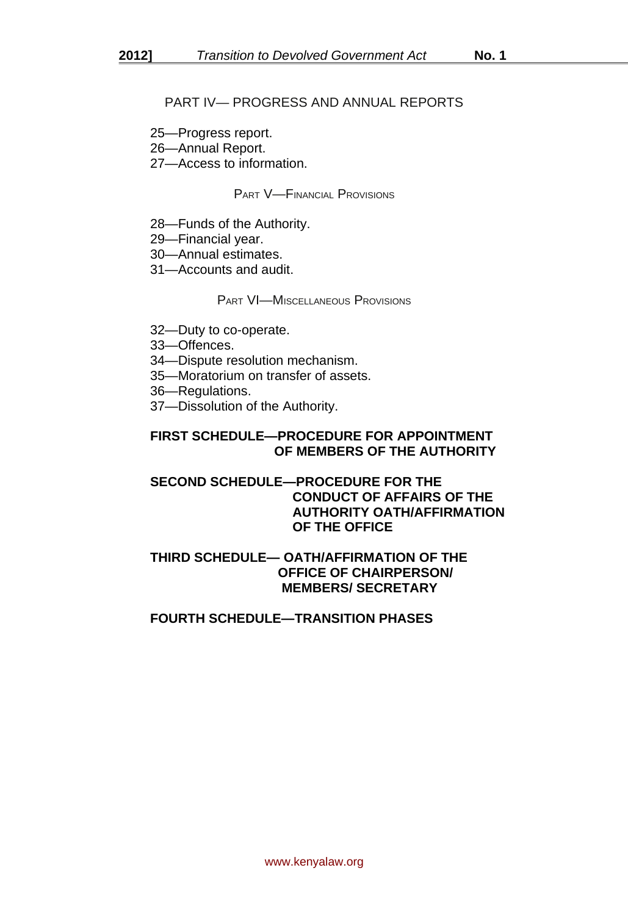## PART IV— PROGRESS AND ANNUAL REPORTS

- 25—Progress report.
- 26—Annual Report.
- 27—Access to information.

PART V—FINANCIAL PROVISIONS

- 28—Funds of the Authority.
- 29—Financial year.
- 30—Annual estimates.
- 31—Accounts and audit.

PART VI—MISCELLANEOUS PROVISIONS

- 32—Duty to co-operate.
- 33—Offences.
- 34—Dispute resolution mechanism.
- 35—Moratorium on transfer of assets.
- 36—Regulations.
- 37—Dissolution of the Authority.

# **FIRST SCHEDULE—PROCEDURE FOR APPOINTMENT OF MEMBERS OF THE AUTHORITY**

## **SECOND SCHEDULE—PROCEDURE FOR THE CONDUCT OF AFFAIRS OF THE AUTHORITY OATH/AFFIRMATION OF THE OFFICE**

## **THIRD SCHEDULE— OATH/AFFIRMATION OF THE OFFICE OF CHAIRPERSON/ MEMBERS/ SECRETARY**

## **FOURTH SCHEDULE—TRANSITION PHASES**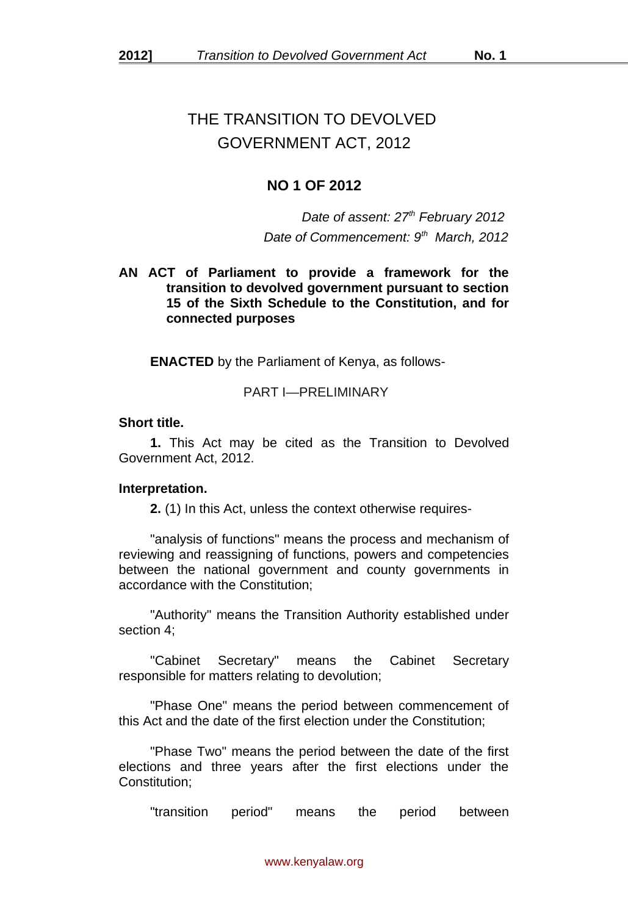# THE TRANSITION TO DEVOLVED GOVERNMENT ACT, 2012

# **NO 1 OF 2012**

*Date of assent: 27th February 2012 Date of Commencement: 9th March, 2012*

## **AN ACT of Parliament to provide a framework for the transition to devolved government pursuant to section 15 of the Sixth Schedule to the Constitution, and for connected purposes**

**ENACTED** by the Parliament of Kenya, as follows-

## PART I—PRELIMINARY

#### **Short title.**

**1.** This Act may be cited as the Transition to Devolved Government Act, 2012.

## **Interpretation.**

**2.** (1) In this Act, unless the context otherwise requires-

"analysis of functions" means the process and mechanism of reviewing and reassigning of functions, powers and competencies between the national government and county governments in accordance with the Constitution;

"Authority" means the Transition Authority established under section 4;

"Cabinet Secretary" means the Cabinet Secretary responsible for matters relating to devolution;

"Phase One" means the period between commencement of this Act and the date of the first election under the Constitution;

"Phase Two" means the period between the date of the first elections and three years after the first elections under the Constitution;

"transition period" means the period between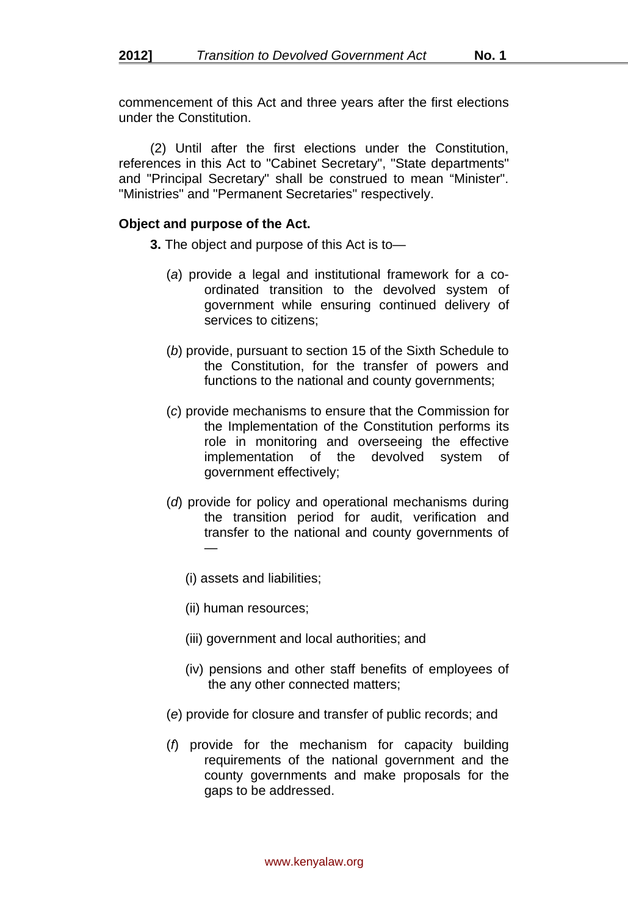commencement of this Act and three years after the first elections under the Constitution.

(2) Until after the first elections under the Constitution, references in this Act to "Cabinet Secretary", "State departments" and "Principal Secretary" shall be construed to mean "Minister". "Ministries" and "Permanent Secretaries" respectively.

#### **Object and purpose of the Act.**

- **3.** The object and purpose of this Act is to—
	- (*a*) provide a legal and institutional framework for a coordinated transition to the devolved system of government while ensuring continued delivery of services to citizens;
	- (*b*) provide, pursuant to section 15 of the Sixth Schedule to the Constitution, for the transfer of powers and functions to the national and county governments;
	- (*c*) provide mechanisms to ensure that the Commission for the Implementation of the Constitution performs its role in monitoring and overseeing the effective implementation of the devolved system of government effectively;
	- (*d*) provide for policy and operational mechanisms during the transition period for audit, verification and transfer to the national and county governments of —
		- (i) assets and liabilities;
		- (ii) human resources;
		- (iii) government and local authorities; and
		- (iv) pensions and other staff benefits of employees of the any other connected matters;
	- (*e*) provide for closure and transfer of public records; and
	- (*f*) provide for the mechanism for capacity building requirements of the national government and the county governments and make proposals for the gaps to be addressed.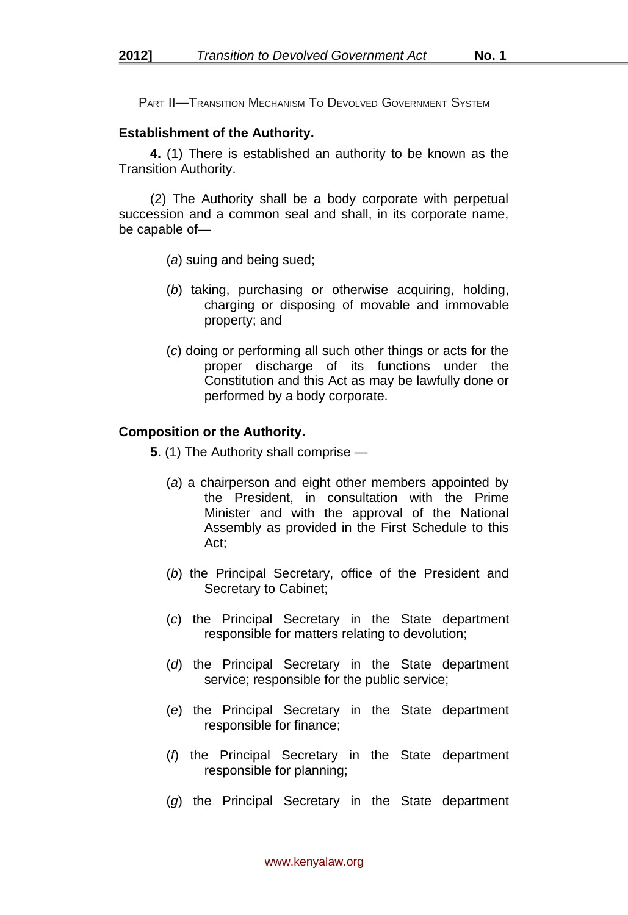PART II—TRANSITION MECHANISM TO DEVOLVED GOVERNMENT SYSTEM

#### **Establishment of the Authority.**

**4.** (1) There is established an authority to be known as the Transition Authority.

(2) The Authority shall be a body corporate with perpetual succession and a common seal and shall, in its corporate name, be capable of—

- (*a*) suing and being sued;
- (*b*) taking, purchasing or otherwise acquiring, holding, charging or disposing of movable and immovable property; and
- (*c*) doing or performing all such other things or acts for the proper discharge of its functions under the Constitution and this Act as may be lawfully done or performed by a body corporate.

#### **Composition or the Authority.**

**5**. (1) The Authority shall comprise —

- (*a*) a chairperson and eight other members appointed by the President, in consultation with the Prime Minister and with the approval of the National Assembly as provided in the First Schedule to this Act;
- (*b*) the Principal Secretary, office of the President and Secretary to Cabinet;
- (*c*) the Principal Secretary in the State department responsible for matters relating to devolution;
- (*d*) the Principal Secretary in the State department service; responsible for the public service;
- (*e*) the Principal Secretary in the State department responsible for finance;
- (*f*) the Principal Secretary in the State department responsible for planning;
- (*g*) the Principal Secretary in the State department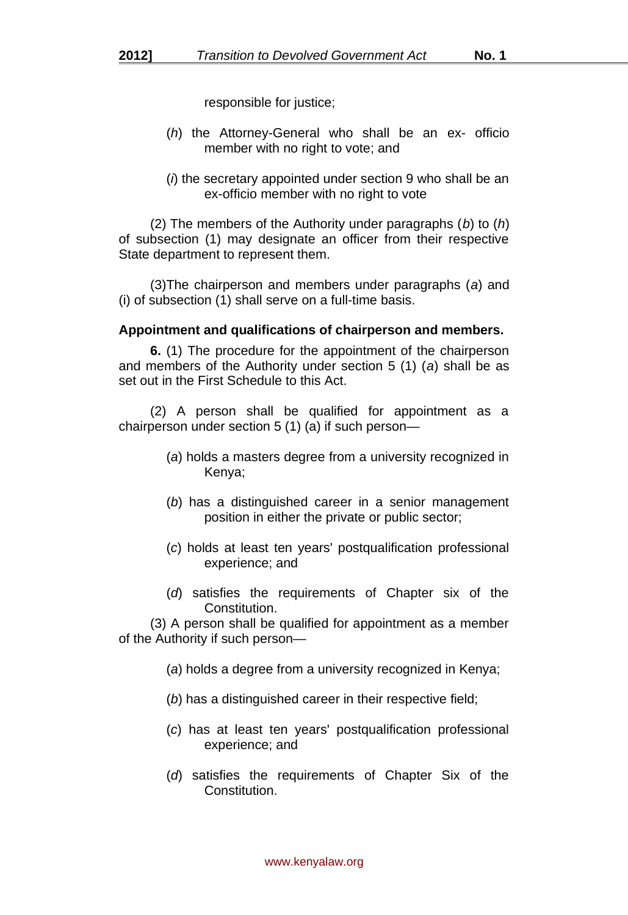responsible for justice;

- (*h*) the Attorney-General who shall be an ex- officio member with no right to vote; and
- (*i*) the secretary appointed under section 9 who shall be an ex-officio member with no right to vote

(2) The members of the Authority under paragraphs (*b*) to (*h*) of subsection (1) may designate an officer from their respective State department to represent them.

(3)The chairperson and members under paragraphs (*a*) and (i) of subsection (1) shall serve on a full-time basis.

## **Appointment and qualifications of chairperson and members.**

**6.** (1) The procedure for the appointment of the chairperson and members of the Authority under section 5 (1) (*a*) shall be as set out in the First Schedule to this Act.

(2) A person shall be qualified for appointment as a chairperson under section 5 (1) (a) if such person—

- (*a*) holds a masters degree from a university recognized in Kenya;
- (*b*) has a distinguished career in a senior management position in either the private or public sector;
- (*c*) holds at least ten years' postqualification professional experience; and
- (*d*) satisfies the requirements of Chapter six of the Constitution.

(3) A person shall be qualified for appointment as a member of the Authority if such person—

- (*a*) holds a degree from a university recognized in Kenya;
- (*b*) has a distinguished career in their respective field;
- (*c*) has at least ten years' postqualification professional experience; and
- (*d*) satisfies the requirements of Chapter Six of the Constitution.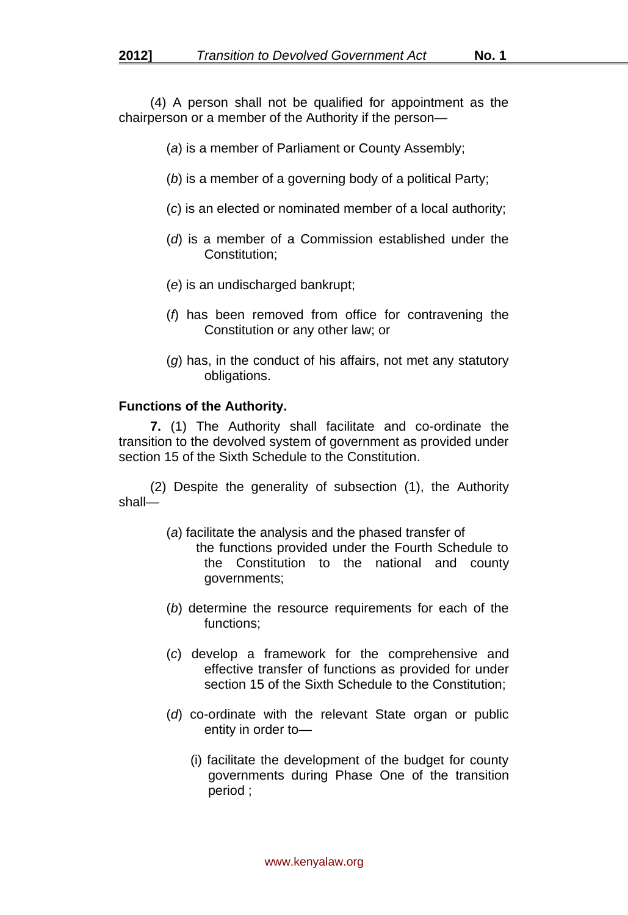(4) A person shall not be qualified for appointment as the chairperson or a member of the Authority if the person—

- (*a*) is a member of Parliament or County Assembly;
- (*b*) is a member of a governing body of a political Party;
- (*c*) is an elected or nominated member of a local authority;
- (*d*) is a member of a Commission established under the Constitution;
- (*e*) is an undischarged bankrupt;
- (*f*) has been removed from office for contravening the Constitution or any other law; or
- (*g*) has, in the conduct of his affairs, not met any statutory obligations.

#### **Functions of the Authority.**

**7.** (1) The Authority shall facilitate and co-ordinate the transition to the devolved system of government as provided under section 15 of the Sixth Schedule to the Constitution.

(2) Despite the generality of subsection (1), the Authority shall—

- (*a*) facilitate the analysis and the phased transfer of
	- the functions provided under the Fourth Schedule to the Constitution to the national and county governments;
- (*b*) determine the resource requirements for each of the functions;
- (*c*) develop a framework for the comprehensive and effective transfer of functions as provided for under section 15 of the Sixth Schedule to the Constitution;
- (*d*) co-ordinate with the relevant State organ or public entity in order to—
	- (i) facilitate the development of the budget for county governments during Phase One of the transition period ;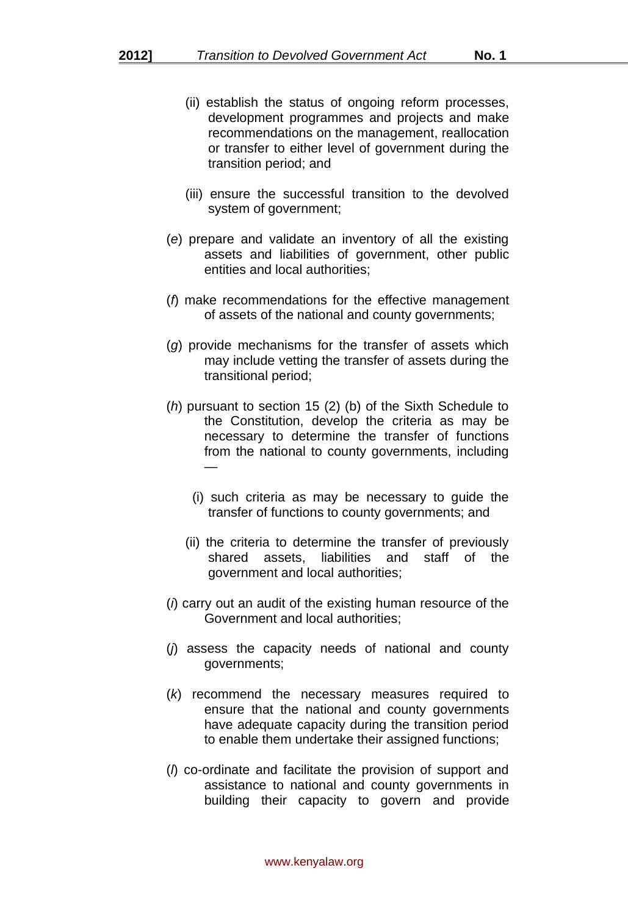- (ii) establish the status of ongoing reform processes, development programmes and projects and make recommendations on the management, reallocation or transfer to either level of government during the transition period; and
- (iii) ensure the successful transition to the devolved system of government;
- (*e*) prepare and validate an inventory of all the existing assets and liabilities of government, other public entities and local authorities;
- (*f*) make recommendations for the effective management of assets of the national and county governments;
- (*g*) provide mechanisms for the transfer of assets which may include vetting the transfer of assets during the transitional period;
- (*h*) pursuant to section 15 (2) (b) of the Sixth Schedule to the Constitution, develop the criteria as may be necessary to determine the transfer of functions from the national to county governments, including —
	- (i) such criteria as may be necessary to guide the transfer of functions to county governments; and
	- (ii) the criteria to determine the transfer of previously shared assets, liabilities and staff of the government and local authorities;
- (*i*) carry out an audit of the existing human resource of the Government and local authorities;
- (*j*) assess the capacity needs of national and county governments;
- (*k*) recommend the necessary measures required to ensure that the national and county governments have adequate capacity during the transition period to enable them undertake their assigned functions;
- (*l*) co-ordinate and facilitate the provision of support and assistance to national and county governments in building their capacity to govern and provide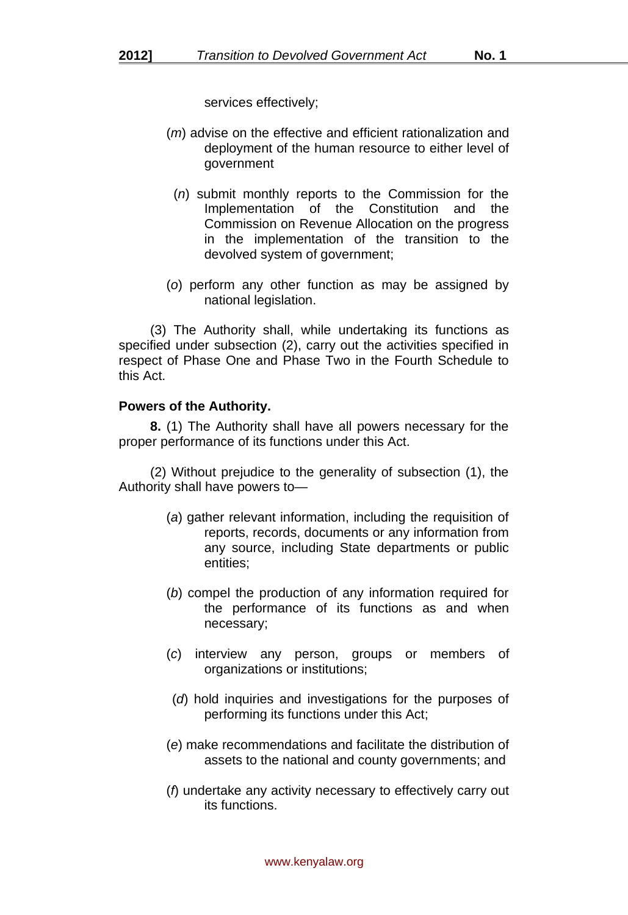services effectively;

- (*m*) advise on the effective and efficient rationalization and deployment of the human resource to either level of government
	- (*n*) submit monthly reports to the Commission for the Implementation of the Constitution and the Commission on Revenue Allocation on the progress in the implementation of the transition to the devolved system of government;
- (*o*) perform any other function as may be assigned by national legislation.

(3) The Authority shall, while undertaking its functions as specified under subsection (2), carry out the activities specified in respect of Phase One and Phase Two in the Fourth Schedule to this Act.

#### **Powers of the Authority.**

**8.** (1) The Authority shall have all powers necessary for the proper performance of its functions under this Act.

(2) Without prejudice to the generality of subsection (1), the Authority shall have powers to—

- (*a*) gather relevant information, including the requisition of reports, records, documents or any information from any source, including State departments or public entities;
- (*b*) compel the production of any information required for the performance of its functions as and when necessary;
- (*c*) interview any person, groups or members of organizations or institutions;
- (*d*) hold inquiries and investigations for the purposes of performing its functions under this Act;
- (*e*) make recommendations and facilitate the distribution of assets to the national and county governments; and
- (*f*) undertake any activity necessary to effectively carry out its functions.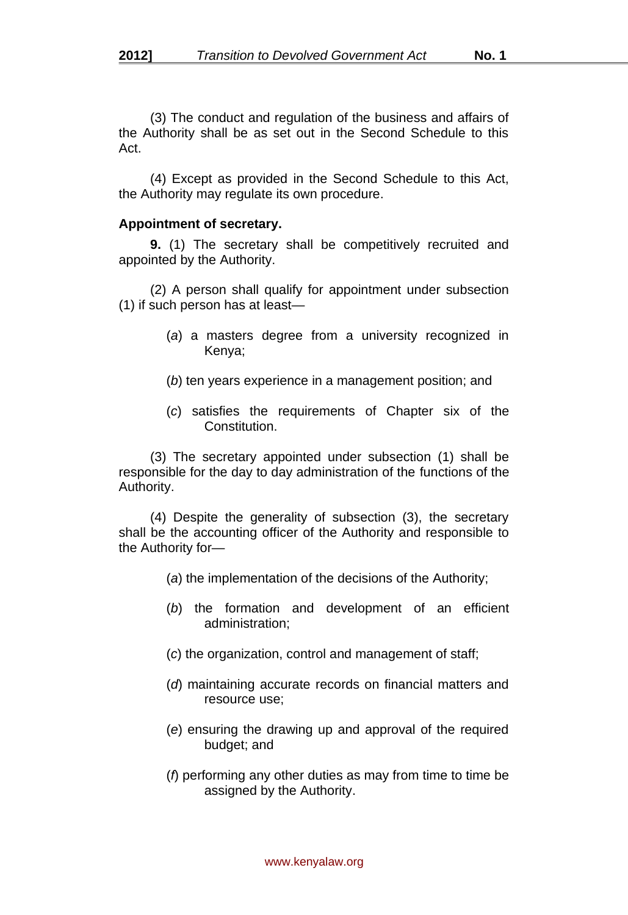(3) The conduct and regulation of the business and affairs of the Authority shall be as set out in the Second Schedule to this Act.

(4) Except as provided in the Second Schedule to this Act, the Authority may regulate its own procedure.

#### **Appointment of secretary.**

**9.** (1) The secretary shall be competitively recruited and appointed by the Authority.

(2) A person shall qualify for appointment under subsection (1) if such person has at least—

- (*a*) a masters degree from a university recognized in Kenya;
- (*b*) ten years experience in a management position; and
- (*c*) satisfies the requirements of Chapter six of the **Constitution**

(3) The secretary appointed under subsection (1) shall be responsible for the day to day administration of the functions of the Authority.

(4) Despite the generality of subsection (3), the secretary shall be the accounting officer of the Authority and responsible to the Authority for—

- (*a*) the implementation of the decisions of the Authority;
- (*b*) the formation and development of an efficient administration;
- (*c*) the organization, control and management of staff;
- (*d*) maintaining accurate records on financial matters and resource use;
- (*e*) ensuring the drawing up and approval of the required budget; and
- (*f*) performing any other duties as may from time to time be assigned by the Authority.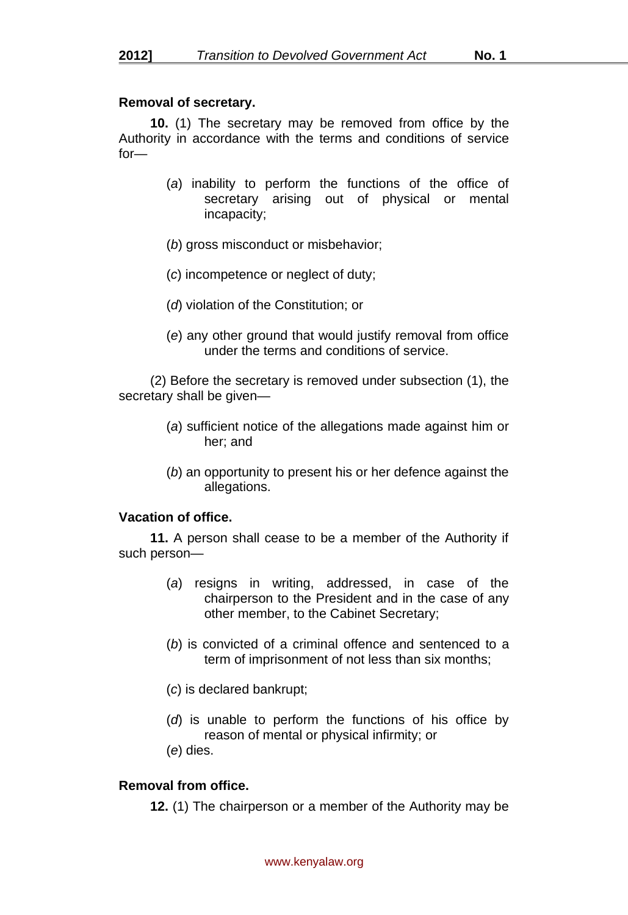## **Removal of secretary.**

**10.** (1) The secretary may be removed from office by the Authority in accordance with the terms and conditions of service for—

- (*a*) inability to perform the functions of the office of secretary arising out of physical or mental incapacity;
- (*b*) gross misconduct or misbehavior;
- (*c*) incompetence or neglect of duty;
- (*d*) violation of the Constitution; or
- (*e*) any other ground that would justify removal from office under the terms and conditions of service.

(2) Before the secretary is removed under subsection (1), the secretary shall be given-

- (*a*) sufficient notice of the allegations made against him or her; and
- (*b*) an opportunity to present his or her defence against the allegations.

## **Vacation of office.**

**11.** A person shall cease to be a member of the Authority if such person—

- (*a*) resigns in writing, addressed, in case of the chairperson to the President and in the case of any other member, to the Cabinet Secretary;
- (*b*) is convicted of a criminal offence and sentenced to a term of imprisonment of not less than six months;
- (*c*) is declared bankrupt;
- (*d*) is unable to perform the functions of his office by reason of mental or physical infirmity; or
- (*e*) dies.

## **Removal from office.**

**12.** (1) The chairperson or a member of the Authority may be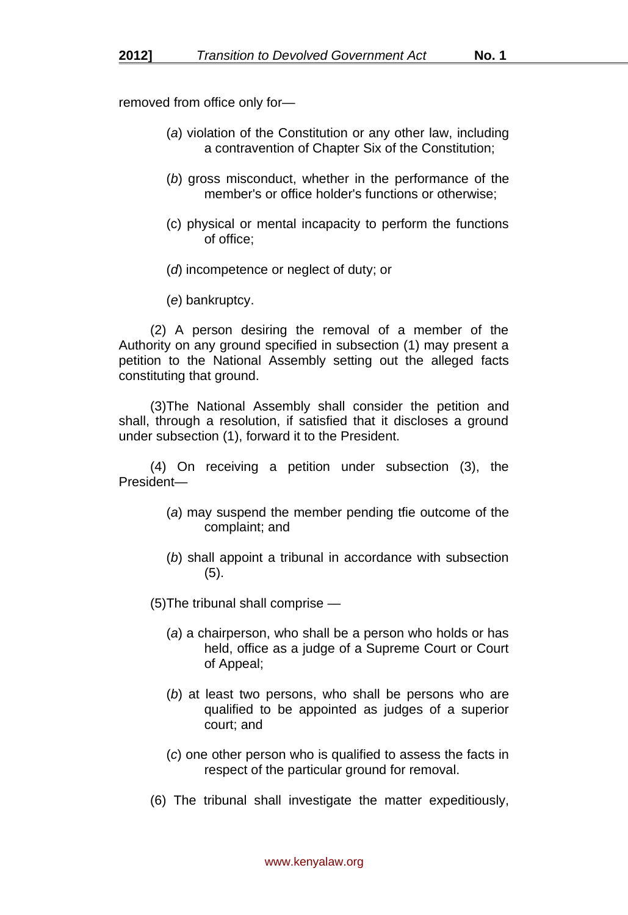removed from office only for—

- (*a*) violation of the Constitution or any other law, including a contravention of Chapter Six of the Constitution;
- (*b*) gross misconduct, whether in the performance of the member's or office holder's functions or otherwise;
- (c) physical or mental incapacity to perform the functions of office;
- (*d*) incompetence or neglect of duty; or
- (*e*) bankruptcy.

(2) A person desiring the removal of a member of the Authority on any ground specified in subsection (1) may present a petition to the National Assembly setting out the alleged facts constituting that ground.

(3)The National Assembly shall consider the petition and shall, through a resolution, if satisfied that it discloses a ground under subsection (1), forward it to the President.

(4) On receiving a petition under subsection (3), the President—

- (*a*) may suspend the member pending tfie outcome of the complaint; and
- (*b*) shall appoint a tribunal in accordance with subsection (5).

(5)The tribunal shall comprise —

- (*a*) a chairperson, who shall be a person who holds or has held, office as a judge of a Supreme Court or Court of Appeal;
- (*b*) at least two persons, who shall be persons who are qualified to be appointed as judges of a superior court; and
- (*c*) one other person who is qualified to assess the facts in respect of the particular ground for removal.
- (6) The tribunal shall investigate the matter expeditiously,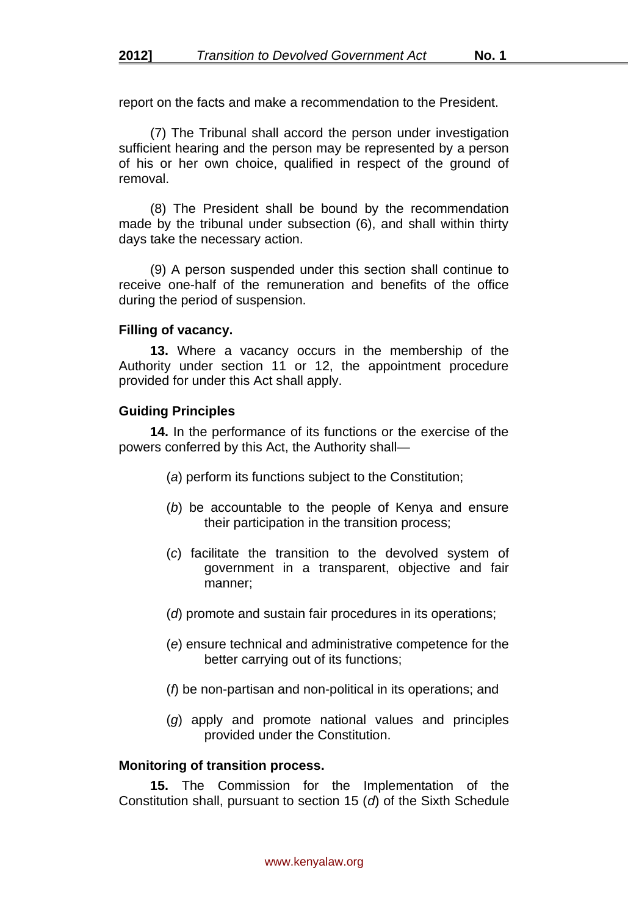report on the facts and make a recommendation to the President.

(7) The Tribunal shall accord the person under investigation sufficient hearing and the person may be represented by a person of his or her own choice, qualified in respect of the ground of removal.

(8) The President shall be bound by the recommendation made by the tribunal under subsection (6), and shall within thirty days take the necessary action.

(9) A person suspended under this section shall continue to receive one-half of the remuneration and benefits of the office during the period of suspension.

#### **Filling of vacancy.**

**13.** Where a vacancy occurs in the membership of the Authority under section 11 or 12, the appointment procedure provided for under this Act shall apply.

#### **Guiding Principles**

**14.** In the performance of its functions or the exercise of the powers conferred by this Act, the Authority shall—

- (*a*) perform its functions subject to the Constitution;
- (*b*) be accountable to the people of Kenya and ensure their participation in the transition process;
- (*c*) facilitate the transition to the devolved system of government in a transparent, objective and fair manner;
- (*d*) promote and sustain fair procedures in its operations;
- (*e*) ensure technical and administrative competence for the better carrying out of its functions;
- (*f*) be non-partisan and non-political in its operations; and
- (*g*) apply and promote national values and principles provided under the Constitution.

#### **Monitoring of transition process.**

**15.** The Commission for the Implementation of the Constitution shall, pursuant to section 15 (*d*) of the Sixth Schedule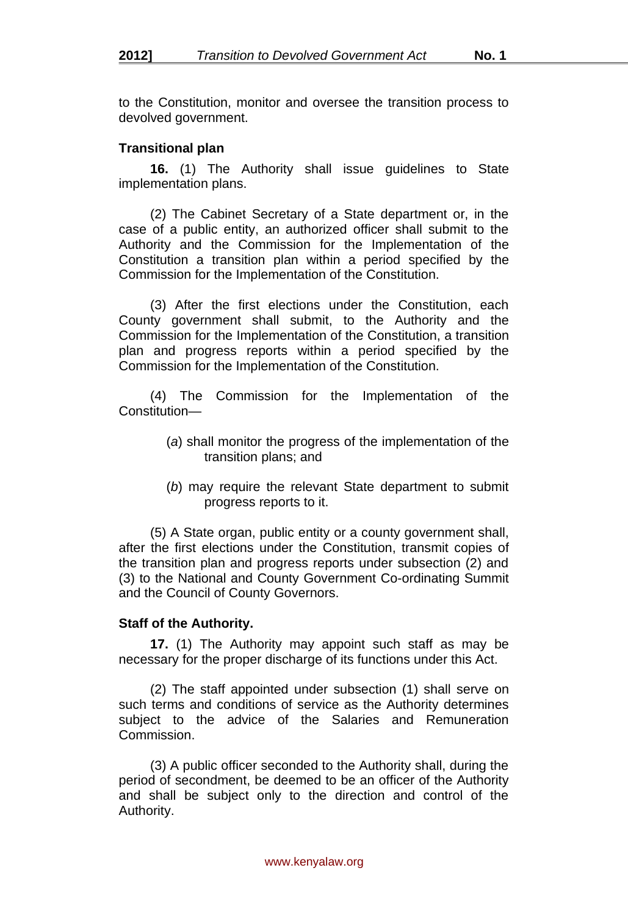to the Constitution, monitor and oversee the transition process to devolved government.

## **Transitional plan**

**16.** (1) The Authority shall issue guidelines to State implementation plans.

(2) The Cabinet Secretary of a State department or, in the case of a public entity, an authorized officer shall submit to the Authority and the Commission for the Implementation of the Constitution a transition plan within a period specified by the Commission for the Implementation of the Constitution.

(3) After the first elections under the Constitution, each County government shall submit, to the Authority and the Commission for the Implementation of the Constitution, a transition plan and progress reports within a period specified by the Commission for the Implementation of the Constitution.

(4) The Commission for the Implementation of the Constitution—

- (*a*) shall monitor the progress of the implementation of the transition plans; and
- (*b*) may require the relevant State department to submit progress reports to it.

(5) A State organ, public entity or a county government shall, after the first elections under the Constitution, transmit copies of the transition plan and progress reports under subsection (2) and (3) to the National and County Government Co-ordinating Summit and the Council of County Governors.

## **Staff of the Authority.**

**17.** (1) The Authority may appoint such staff as may be necessary for the proper discharge of its functions under this Act.

(2) The staff appointed under subsection (1) shall serve on such terms and conditions of service as the Authority determines subject to the advice of the Salaries and Remuneration **Commission** 

(3) A public officer seconded to the Authority shall, during the period of secondment, be deemed to be an officer of the Authority and shall be subject only to the direction and control of the Authority.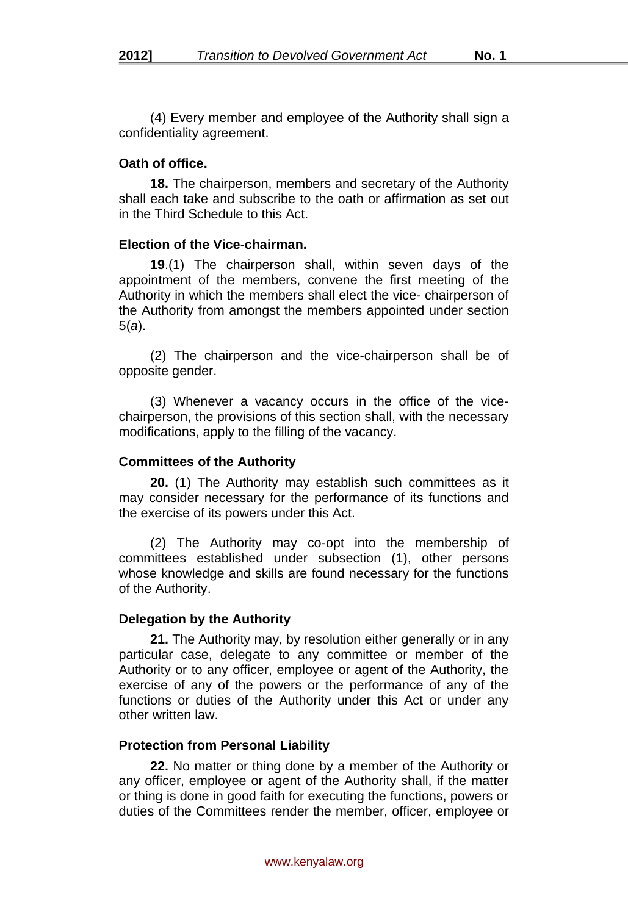(4) Every member and employee of the Authority shall sign a confidentiality agreement.

#### **Oath of office.**

**18.** The chairperson, members and secretary of the Authority shall each take and subscribe to the oath or affirmation as set out in the Third Schedule to this Act.

#### **Election of the Vice-chairman.**

**19**.(1) The chairperson shall, within seven days of the appointment of the members, convene the first meeting of the Authority in which the members shall elect the vice- chairperson of the Authority from amongst the members appointed under section 5(*a*).

(2) The chairperson and the vice-chairperson shall be of opposite gender.

(3) Whenever a vacancy occurs in the office of the vicechairperson, the provisions of this section shall, with the necessary modifications, apply to the filling of the vacancy.

#### **Committees of the Authority**

**20.** (1) The Authority may establish such committees as it may consider necessary for the performance of its functions and the exercise of its powers under this Act.

(2) The Authority may co-opt into the membership of committees established under subsection (1), other persons whose knowledge and skills are found necessary for the functions of the Authority.

## **Delegation by the Authority**

**21.** The Authority may, by resolution either generally or in any particular case, delegate to any committee or member of the Authority or to any officer, employee or agent of the Authority, the exercise of any of the powers or the performance of any of the functions or duties of the Authority under this Act or under any other written law.

## **Protection from Personal Liability**

**22.** No matter or thing done by a member of the Authority or any officer, employee or agent of the Authority shall, if the matter or thing is done in good faith for executing the functions, powers or duties of the Committees render the member, officer, employee or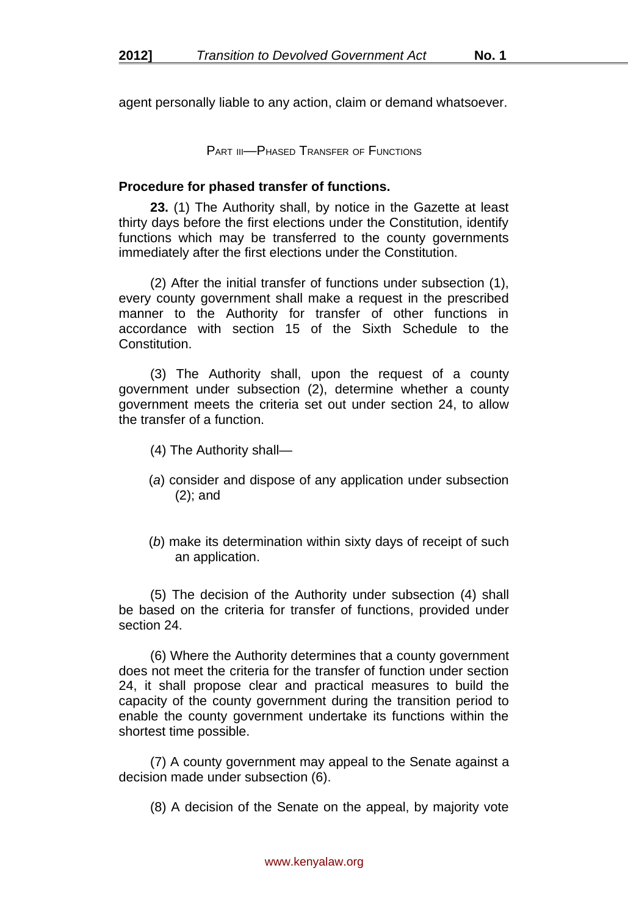agent personally liable to any action, claim or demand whatsoever.

PART III—PHASED TRANSFER OF FUNCTIONS

#### **Procedure for phased transfer of functions.**

**23.** (1) The Authority shall, by notice in the Gazette at least thirty days before the first elections under the Constitution, identify functions which may be transferred to the county governments immediately after the first elections under the Constitution.

(2) After the initial transfer of functions under subsection (1), every county government shall make a request in the prescribed manner to the Authority for transfer of other functions in accordance with section 15 of the Sixth Schedule to the Constitution.

(3) The Authority shall, upon the request of a county government under subsection (2), determine whether a county government meets the criteria set out under section 24, to allow the transfer of a function.

- (4) The Authority shall—
- (*a*) consider and dispose of any application under subsection (2); and
- (*b*) make its determination within sixty days of receipt of such an application.

(5) The decision of the Authority under subsection (4) shall be based on the criteria for transfer of functions, provided under section 24.

(6) Where the Authority determines that a county government does not meet the criteria for the transfer of function under section 24, it shall propose clear and practical measures to build the capacity of the county government during the transition period to enable the county government undertake its functions within the shortest time possible.

(7) A county government may appeal to the Senate against a decision made under subsection (6).

(8) A decision of the Senate on the appeal, by majority vote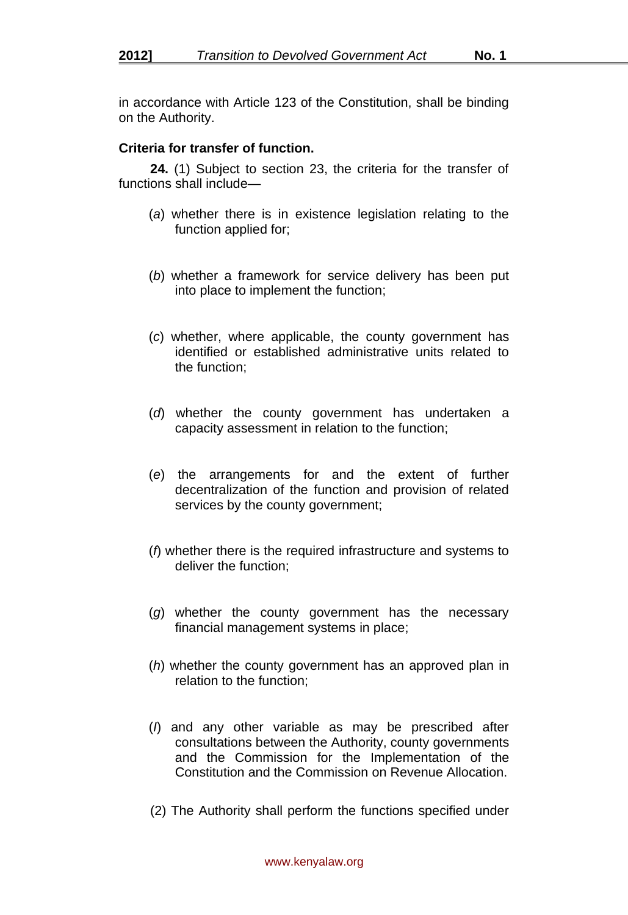in accordance with Article 123 of the Constitution, shall be binding on the Authority.

## **Criteria for transfer of function.**

**24.** (1) Subject to section 23, the criteria for the transfer of functions shall include—

- (*a*) whether there is in existence legislation relating to the function applied for;
- (*b*) whether a framework for service delivery has been put into place to implement the function;
- (*c*) whether, where applicable, the county government has identified or established administrative units related to the function;
- (*d*) whether the county government has undertaken a capacity assessment in relation to the function;
- (*e*) the arrangements for and the extent of further decentralization of the function and provision of related services by the county government;
- (*f*) whether there is the required infrastructure and systems to deliver the function;
- (*g*) whether the county government has the necessary financial management systems in place;
- (*h*) whether the county government has an approved plan in relation to the function;
- (*I*) and any other variable as may be prescribed after consultations between the Authority, county governments and the Commission for the Implementation of the Constitution and the Commission on Revenue Allocation.
- (2) The Authority shall perform the functions specified under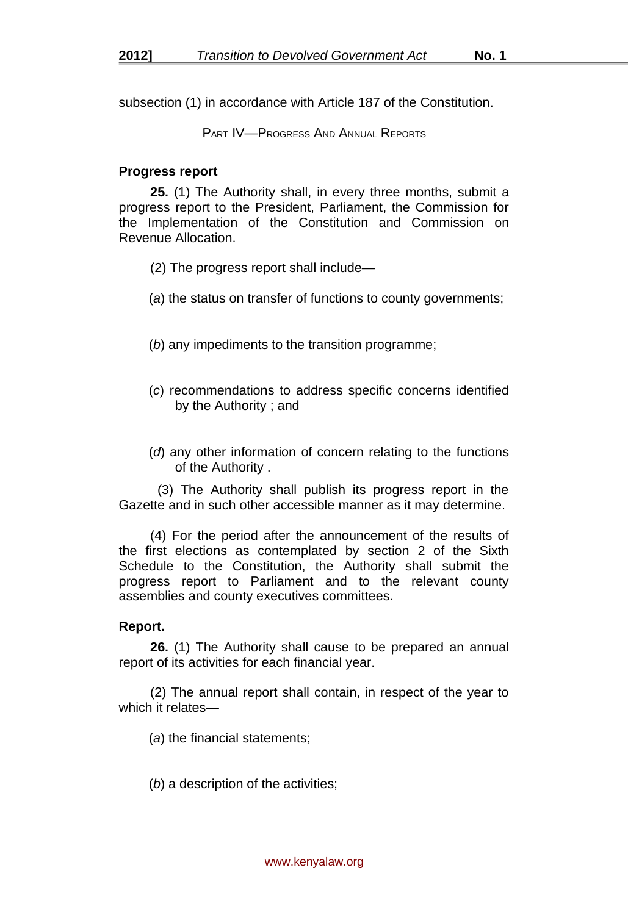subsection (1) in accordance with Article 187 of the Constitution.

PART IV—PROGRESS AND ANNUAL REPORTS

#### **Progress report**

**25.** (1) The Authority shall, in every three months, submit a progress report to the President, Parliament, the Commission for the Implementation of the Constitution and Commission on Revenue Allocation.

- (2) The progress report shall include—
- (*a*) the status on transfer of functions to county governments;
- (*b*) any impediments to the transition programme;
- (*c*) recommendations to address specific concerns identified by the Authority ; and
- (*d*) any other information of concern relating to the functions of the Authority .

 (3) The Authority shall publish its progress report in the Gazette and in such other accessible manner as it may determine.

(4) For the period after the announcement of the results of the first elections as contemplated by section 2 of the Sixth Schedule to the Constitution, the Authority shall submit the progress report to Parliament and to the relevant county assemblies and county executives committees.

## **Report.**

**26.** (1) The Authority shall cause to be prepared an annual report of its activities for each financial year.

(2) The annual report shall contain, in respect of the year to which it relates—

(*a*) the financial statements;

(*b*) a description of the activities;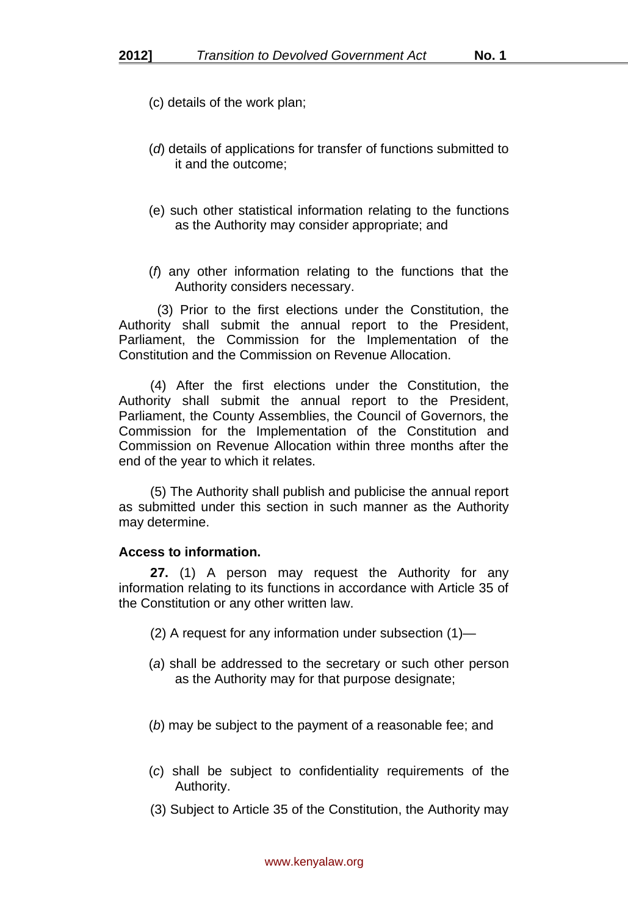- (c) details of the work plan;
- (*d*) details of applications for transfer of functions submitted to it and the outcome;
- (e) such other statistical information relating to the functions as the Authority may consider appropriate; and
- (*f*) any other information relating to the functions that the Authority considers necessary.

 (3) Prior to the first elections under the Constitution, the Authority shall submit the annual report to the President, Parliament, the Commission for the Implementation of the Constitution and the Commission on Revenue Allocation.

(4) After the first elections under the Constitution, the Authority shall submit the annual report to the President, Parliament, the County Assemblies, the Council of Governors, the Commission for the Implementation of the Constitution and Commission on Revenue Allocation within three months after the end of the year to which it relates.

(5) The Authority shall publish and publicise the annual report as submitted under this section in such manner as the Authority may determine.

#### **Access to information.**

**27.** (1) A person may request the Authority for any information relating to its functions in accordance with Article 35 of the Constitution or any other written law.

- (2) A request for any information under subsection (1)—
- (*a*) shall be addressed to the secretary or such other person as the Authority may for that purpose designate;
- (*b*) may be subject to the payment of a reasonable fee; and
- (*c*) shall be subject to confidentiality requirements of the Authority.
- (3) Subject to Article 35 of the Constitution, the Authority may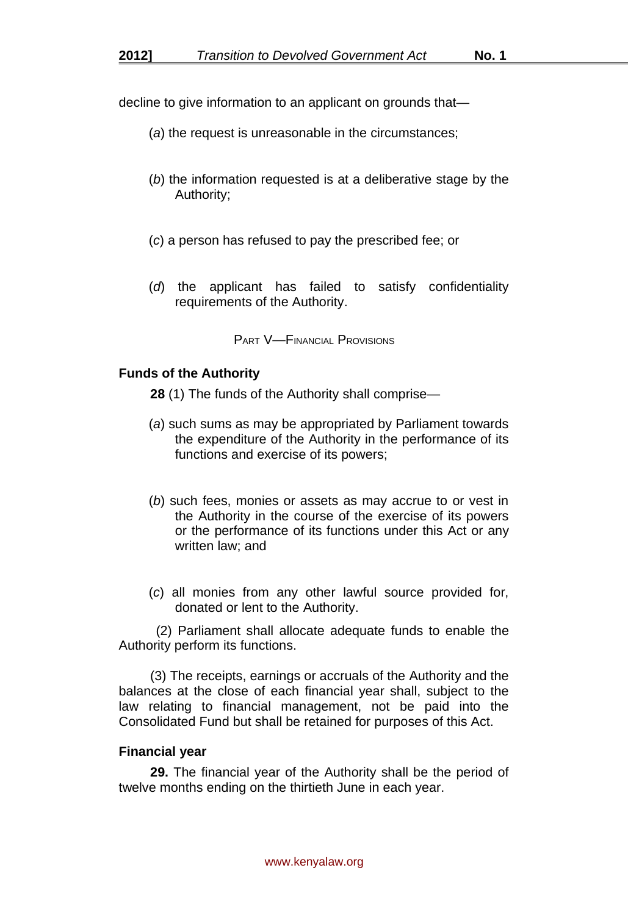decline to give information to an applicant on grounds that—

- (*a*) the request is unreasonable in the circumstances;
- (*b*) the information requested is at a deliberative stage by the Authority;
- (*c*) a person has refused to pay the prescribed fee; or
- (*d*) the applicant has failed to satisfy confidentiality requirements of the Authority.

PART V—FINANCIAL PROVISIONS

#### **Funds of the Authority**

**28** (1) The funds of the Authority shall comprise—

- (*a*) such sums as may be appropriated by Parliament towards the expenditure of the Authority in the performance of its functions and exercise of its powers;
- (*b*) such fees, monies or assets as may accrue to or vest in the Authority in the course of the exercise of its powers or the performance of its functions under this Act or any written law; and
- (*c*) all monies from any other lawful source provided for, donated or lent to the Authority.

 (2) Parliament shall allocate adequate funds to enable the Authority perform its functions.

(3) The receipts, earnings or accruals of the Authority and the balances at the close of each financial year shall, subject to the law relating to financial management, not be paid into the Consolidated Fund but shall be retained for purposes of this Act.

#### **Financial year**

**29.** The financial year of the Authority shall be the period of twelve months ending on the thirtieth June in each year.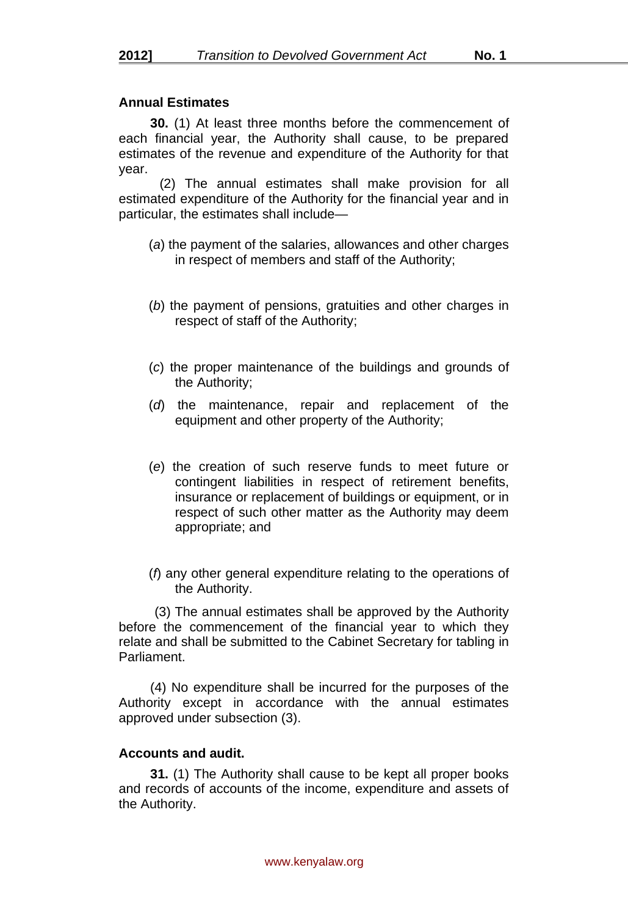## **Annual Estimates**

**30.** (1) At least three months before the commencement of each financial year, the Authority shall cause, to be prepared estimates of the revenue and expenditure of the Authority for that year.

 (2) The annual estimates shall make provision for all estimated expenditure of the Authority for the financial year and in particular, the estimates shall include—

- (*a*) the payment of the salaries, allowances and other charges in respect of members and staff of the Authority;
- (*b*) the payment of pensions, gratuities and other charges in respect of staff of the Authority;
- (*c*) the proper maintenance of the buildings and grounds of the Authority;
- (*d*) the maintenance, repair and replacement of the equipment and other property of the Authority;
- (*e*) the creation of such reserve funds to meet future or contingent liabilities in respect of retirement benefits, insurance or replacement of buildings or equipment, or in respect of such other matter as the Authority may deem appropriate; and
- (*f*) any other general expenditure relating to the operations of the Authority.

 (3) The annual estimates shall be approved by the Authority before the commencement of the financial year to which they relate and shall be submitted to the Cabinet Secretary for tabling in Parliament.

(4) No expenditure shall be incurred for the purposes of the Authority except in accordance with the annual estimates approved under subsection (3).

## **Accounts and audit.**

**31.** (1) The Authority shall cause to be kept all proper books and records of accounts of the income, expenditure and assets of the Authority.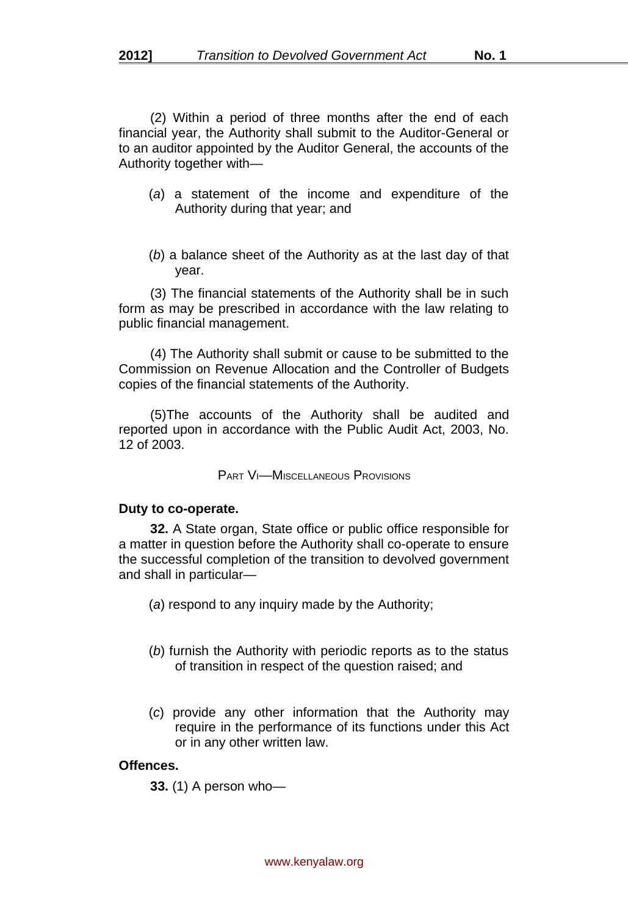(2) Within a period of three months after the end of each financial year, the Authority shall submit to the Auditor-General or to an auditor appointed by the Auditor General, the accounts of the Authority together with—

- (*a*) a statement of the income and expenditure of the Authority during that year; and
- (*b*) a balance sheet of the Authority as at the last day of that year.

(3) The financial statements of the Authority shall be in such form as may be prescribed in accordance with the law relating to public financial management.

(4) The Authority shall submit or cause to be submitted to the Commission on Revenue Allocation and the Controller of Budgets copies of the financial statements of the Authority.

(5)The accounts of the Authority shall be audited and reported upon in accordance with the Public Audit Act, 2003, No. 12 of 2003.

PART VI—MISCELLANEOUS PROVISIONS

#### **Duty to co-operate.**

**32.** A State organ, State office or public office responsible for a matter in question before the Authority shall co-operate to ensure the successful completion of the transition to devolved government and shall in particular—

(*a*) respond to any inquiry made by the Authority;

- (*b*) furnish the Authority with periodic reports as to the status of transition in respect of the question raised; and
- (*c*) provide any other information that the Authority may require in the performance of its functions under this Act or in any other written law.

#### **Offences.**

**33.** (1) A person who—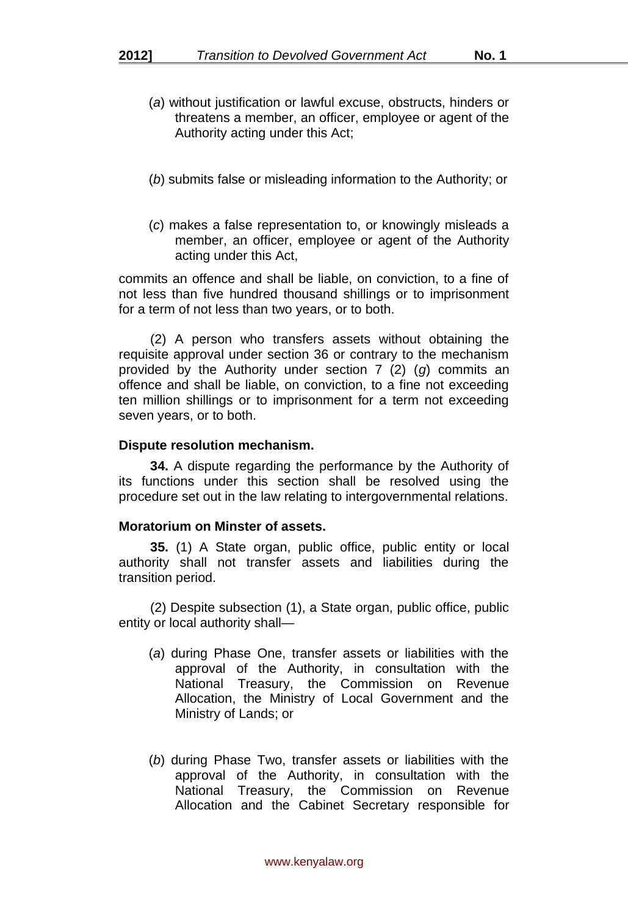- (*a*) without justification or lawful excuse, obstructs, hinders or threatens a member, an officer, employee or agent of the Authority acting under this Act;
- (*b*) submits false or misleading information to the Authority; or
- (*c*) makes a false representation to, or knowingly misleads a member, an officer, employee or agent of the Authority acting under this Act,

commits an offence and shall be liable, on conviction, to a fine of not less than five hundred thousand shillings or to imprisonment for a term of not less than two years, or to both.

(2) A person who transfers assets without obtaining the requisite approval under section 36 or contrary to the mechanism provided by the Authority under section 7 (2) (*g*) commits an offence and shall be liable, on conviction, to a fine not exceeding ten million shillings or to imprisonment for a term not exceeding seven years, or to both.

#### **Dispute resolution mechanism.**

**34.** A dispute regarding the performance by the Authority of its functions under this section shall be resolved using the procedure set out in the law relating to intergovernmental relations.

## **Moratorium on Minster of assets.**

**35.** (1) A State organ, public office, public entity or local authority shall not transfer assets and liabilities during the transition period.

(2) Despite subsection (1), a State organ, public office, public entity or local authority shall—

- (*a*) during Phase One, transfer assets or liabilities with the approval of the Authority, in consultation with the National Treasury, the Commission on Revenue Allocation, the Ministry of Local Government and the Ministry of Lands; or
- (*b*) during Phase Two, transfer assets or liabilities with the approval of the Authority, in consultation with the National Treasury, the Commission on Revenue Allocation and the Cabinet Secretary responsible for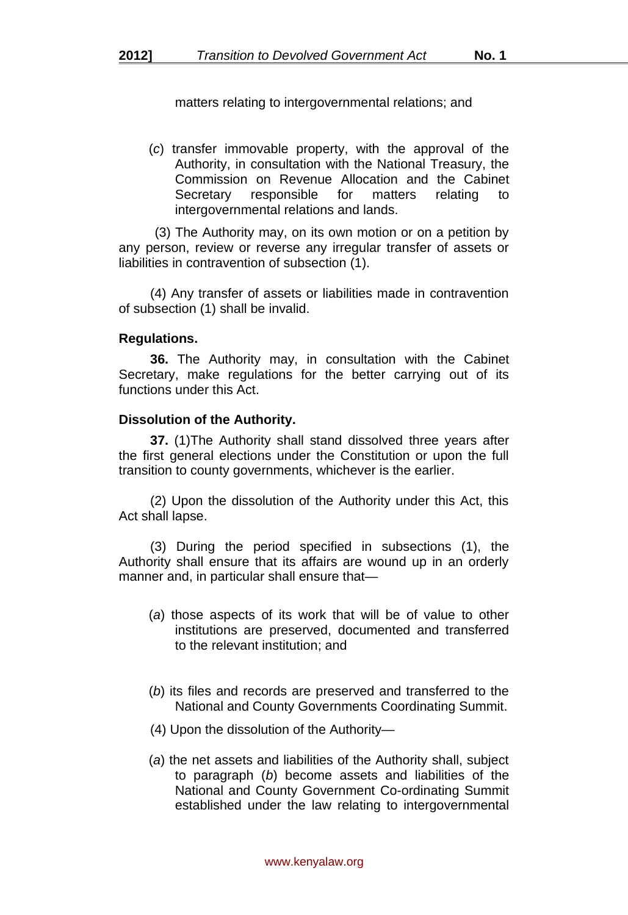matters relating to intergovernmental relations; and

(*c*) transfer immovable property, with the approval of the Authority, in consultation with the National Treasury, the Commission on Revenue Allocation and the Cabinet Secretary responsible for matters relating to intergovernmental relations and lands.

 (3) The Authority may, on its own motion or on a petition by any person, review or reverse any irregular transfer of assets or liabilities in contravention of subsection (1).

(4) Any transfer of assets or liabilities made in contravention of subsection (1) shall be invalid.

#### **Regulations.**

**36.** The Authority may, in consultation with the Cabinet Secretary, make regulations for the better carrying out of its functions under this Act.

#### **Dissolution of the Authority.**

**37.** (1)The Authority shall stand dissolved three years after the first general elections under the Constitution or upon the full transition to county governments, whichever is the earlier.

(2) Upon the dissolution of the Authority under this Act, this Act shall lapse.

(3) During the period specified in subsections (1), the Authority shall ensure that its affairs are wound up in an orderly manner and, in particular shall ensure that—

- (*a*) those aspects of its work that will be of value to other institutions are preserved, documented and transferred to the relevant institution; and
- (*b*) its files and records are preserved and transferred to the National and County Governments Coordinating Summit.
- (4) Upon the dissolution of the Authority—
- (*a*) the net assets and liabilities of the Authority shall, subject to paragraph (*b*) become assets and liabilities of the National and County Government Co-ordinating Summit established under the law relating to intergovernmental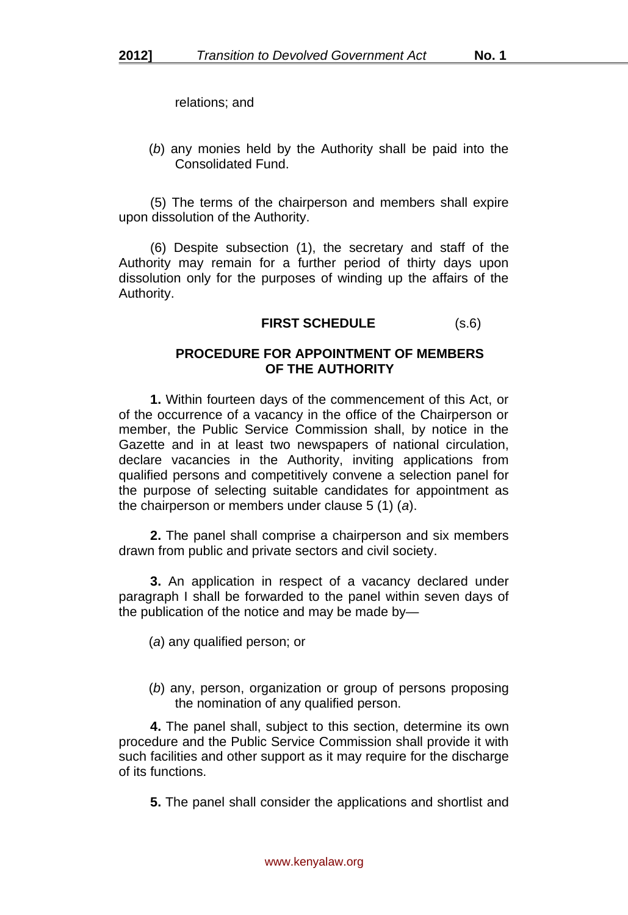relations; and

(*b*) any monies held by the Authority shall be paid into the Consolidated Fund.

(5) The terms of the chairperson and members shall expire upon dissolution of the Authority.

(6) Despite subsection (1), the secretary and staff of the Authority may remain for a further period of thirty days upon dissolution only for the purposes of winding up the affairs of the Authority.

## **FIRST SCHEDULE** (s.6)

#### **PROCEDURE FOR APPOINTMENT OF MEMBERS OF THE AUTHORITY**

**1.** Within fourteen days of the commencement of this Act, or of the occurrence of a vacancy in the office of the Chairperson or member, the Public Service Commission shall, by notice in the Gazette and in at least two newspapers of national circulation, declare vacancies in the Authority, inviting applications from qualified persons and competitively convene a selection panel for the purpose of selecting suitable candidates for appointment as the chairperson or members under clause 5 (1) (*a*).

**2.** The panel shall comprise a chairperson and six members drawn from public and private sectors and civil society.

**3.** An application in respect of a vacancy declared under paragraph I shall be forwarded to the panel within seven days of the publication of the notice and may be made by—

(*a*) any qualified person; or

(*b*) any, person, organization or group of persons proposing the nomination of any qualified person.

**4.** The panel shall, subject to this section, determine its own procedure and the Public Service Commission shall provide it with such facilities and other support as it may require for the discharge of its functions.

**5.** The panel shall consider the applications and shortlist and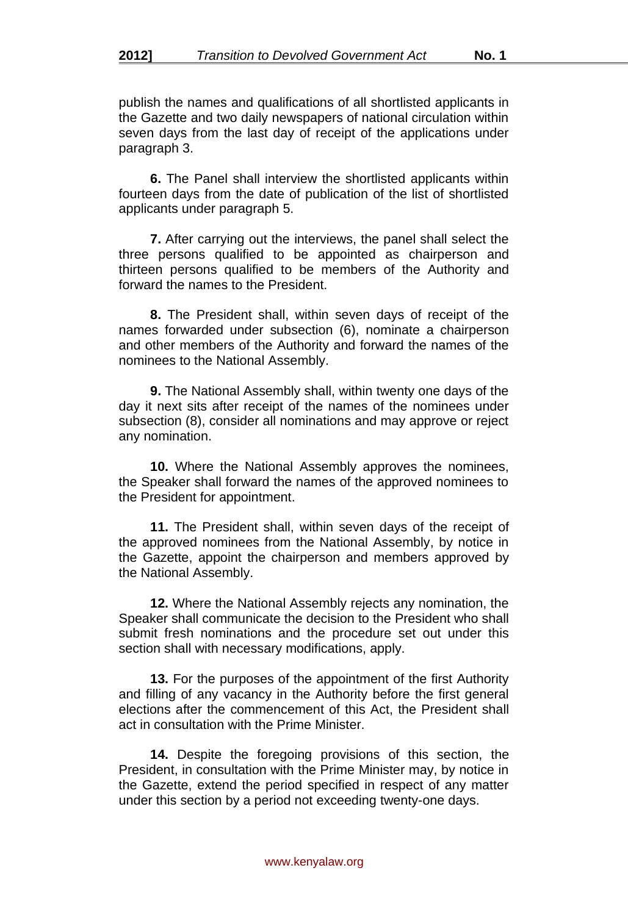publish the names and qualifications of all shortlisted applicants in the Gazette and two daily newspapers of national circulation within seven days from the last day of receipt of the applications under paragraph 3.

**6.** The Panel shall interview the shortlisted applicants within fourteen days from the date of publication of the list of shortlisted applicants under paragraph 5.

**7.** After carrying out the interviews, the panel shall select the three persons qualified to be appointed as chairperson and thirteen persons qualified to be members of the Authority and forward the names to the President.

**8.** The President shall, within seven days of receipt of the names forwarded under subsection (6), nominate a chairperson and other members of the Authority and forward the names of the nominees to the National Assembly.

**9.** The National Assembly shall, within twenty one days of the day it next sits after receipt of the names of the nominees under subsection (8), consider all nominations and may approve or reject any nomination.

**10.** Where the National Assembly approves the nominees, the Speaker shall forward the names of the approved nominees to the President for appointment.

**11.** The President shall, within seven days of the receipt of the approved nominees from the National Assembly, by notice in the Gazette, appoint the chairperson and members approved by the National Assembly.

**12.** Where the National Assembly rejects any nomination, the Speaker shall communicate the decision to the President who shall submit fresh nominations and the procedure set out under this section shall with necessary modifications, apply.

**13.** For the purposes of the appointment of the first Authority and filling of any vacancy in the Authority before the first general elections after the commencement of this Act, the President shall act in consultation with the Prime Minister.

**14.** Despite the foregoing provisions of this section, the President, in consultation with the Prime Minister may, by notice in the Gazette, extend the period specified in respect of any matter under this section by a period not exceeding twenty-one days.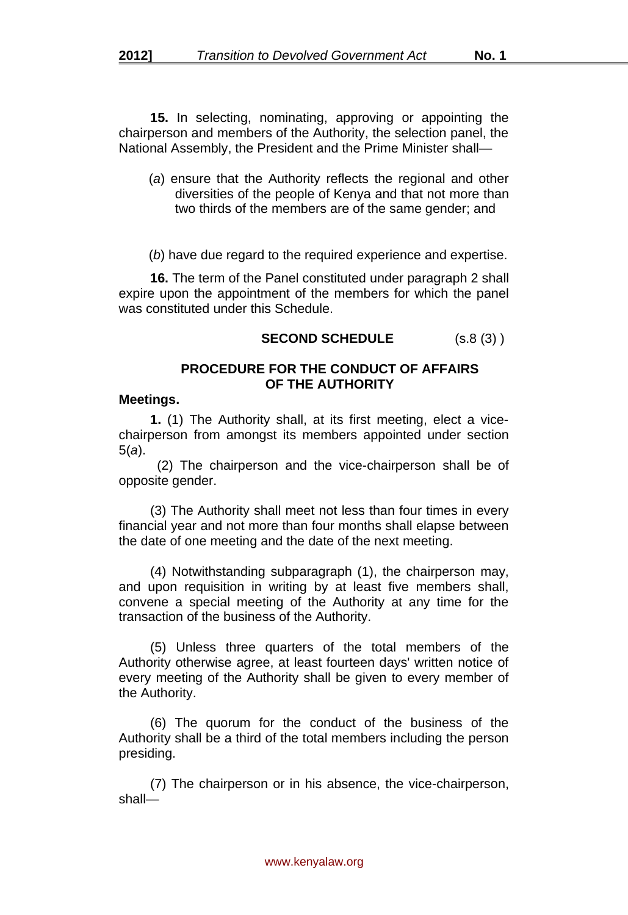**15.** In selecting, nominating, approving or appointing the chairperson and members of the Authority, the selection panel, the National Assembly, the President and the Prime Minister shall—

- (*a*) ensure that the Authority reflects the regional and other diversities of the people of Kenya and that not more than two thirds of the members are of the same gender; and
- (*b*) have due regard to the required experience and expertise.

**16.** The term of the Panel constituted under paragraph 2 shall expire upon the appointment of the members for which the panel was constituted under this Schedule.

**SECOND SCHEDULE** (s.8 (3) )

#### **PROCEDURE FOR THE CONDUCT OF AFFAIRS OF THE AUTHORITY**

#### **Meetings.**

**1.** (1) The Authority shall, at its first meeting, elect a vicechairperson from amongst its members appointed under section 5(*a*).

 (2) The chairperson and the vice-chairperson shall be of opposite gender.

(3) The Authority shall meet not less than four times in every financial year and not more than four months shall elapse between the date of one meeting and the date of the next meeting.

(4) Notwithstanding subparagraph (1), the chairperson may, and upon requisition in writing by at least five members shall, convene a special meeting of the Authority at any time for the transaction of the business of the Authority.

(5) Unless three quarters of the total members of the Authority otherwise agree, at least fourteen days' written notice of every meeting of the Authority shall be given to every member of the Authority.

(6) The quorum for the conduct of the business of the Authority shall be a third of the total members including the person presiding.

(7) The chairperson or in his absence, the vice-chairperson, shall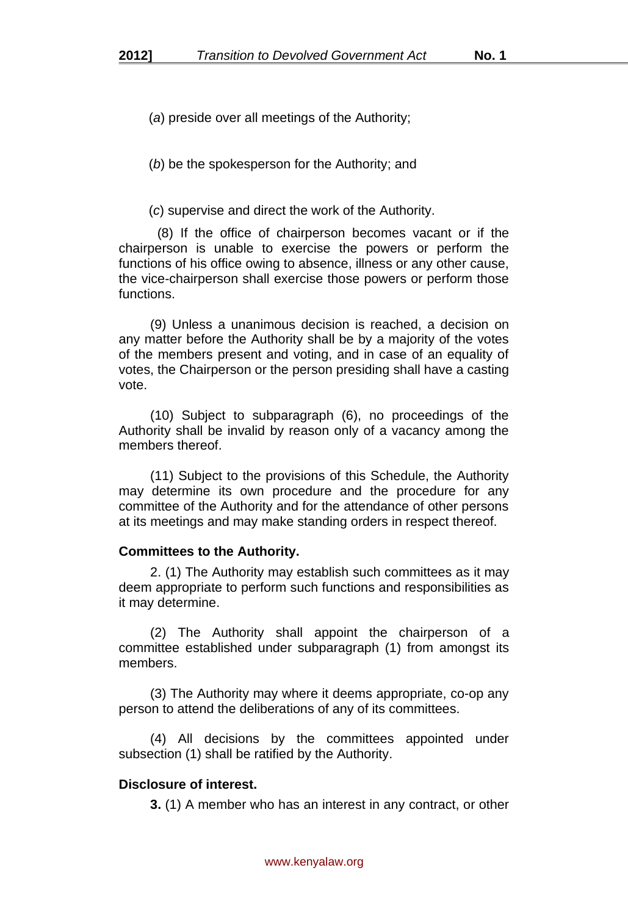(*a*) preside over all meetings of the Authority;

(*b*) be the spokesperson for the Authority; and

(*c*) supervise and direct the work of the Authority.

 (8) If the office of chairperson becomes vacant or if the chairperson is unable to exercise the powers or perform the functions of his office owing to absence, illness or any other cause, the vice-chairperson shall exercise those powers or perform those functions.

(9) Unless a unanimous decision is reached, a decision on any matter before the Authority shall be by a majority of the votes of the members present and voting, and in case of an equality of votes, the Chairperson or the person presiding shall have a casting vote.

(10) Subject to subparagraph (6), no proceedings of the Authority shall be invalid by reason only of a vacancy among the members thereof.

(11) Subject to the provisions of this Schedule, the Authority may determine its own procedure and the procedure for any committee of the Authority and for the attendance of other persons at its meetings and may make standing orders in respect thereof.

## **Committees to the Authority.**

2. (1) The Authority may establish such committees as it may deem appropriate to perform such functions and responsibilities as it may determine.

(2) The Authority shall appoint the chairperson of a committee established under subparagraph (1) from amongst its members.

(3) The Authority may where it deems appropriate, co-op any person to attend the deliberations of any of its committees.

(4) All decisions by the committees appointed under subsection (1) shall be ratified by the Authority.

# **Disclosure of interest.**

**3.** (1) A member who has an interest in any contract, or other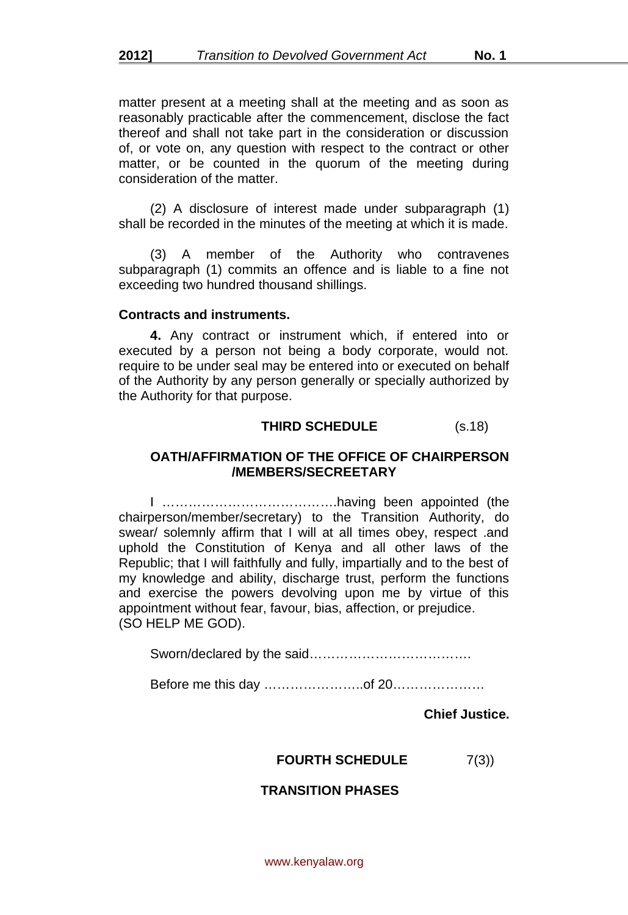matter present at a meeting shall at the meeting and as soon as reasonably practicable after the commencement, disclose the fact thereof and shall not take part in the consideration or discussion of, or vote on, any question with respect to the contract or other matter, or be counted in the quorum of the meeting during consideration of the matter.

(2) A disclosure of interest made under subparagraph (1) shall be recorded in the minutes of the meeting at which it is made.

(3) A member of the Authority who contravenes subparagraph (1) commits an offence and is liable to a fine not exceeding two hundred thousand shillings.

#### **Contracts and instruments.**

**4.** Any contract or instrument which, if entered into or executed by a person not being a body corporate, would not. require to be under seal may be entered into or executed on behalf of the Authority by any person generally or specially authorized by the Authority for that purpose.

# **THIRD SCHEDULE** (s.18)

#### **OATH/AFFIRMATION OF THE OFFICE OF CHAIRPERSON /MEMBERS/SECREETARY**

I ………………………………….having been appointed (the chairperson/member/secretary) to the Transition Authority, do swear/ solemnly affirm that I will at all times obey, respect .and uphold the Constitution of Kenya and all other laws of the Republic; that I will faithfully and fully, impartially and to the best of my knowledge and ability, discharge trust, perform the functions and exercise the powers devolving upon me by virtue of this appointment without fear, favour, bias, affection, or prejudice. (SO HELP ME GOD).

Sworn/declared by the said……………………………….

Before me this day …………………..of 20…………………

**Chief Justice.**

## **FOURTH SCHEDULE**  $7(3)$

#### **TRANSITION PHASES**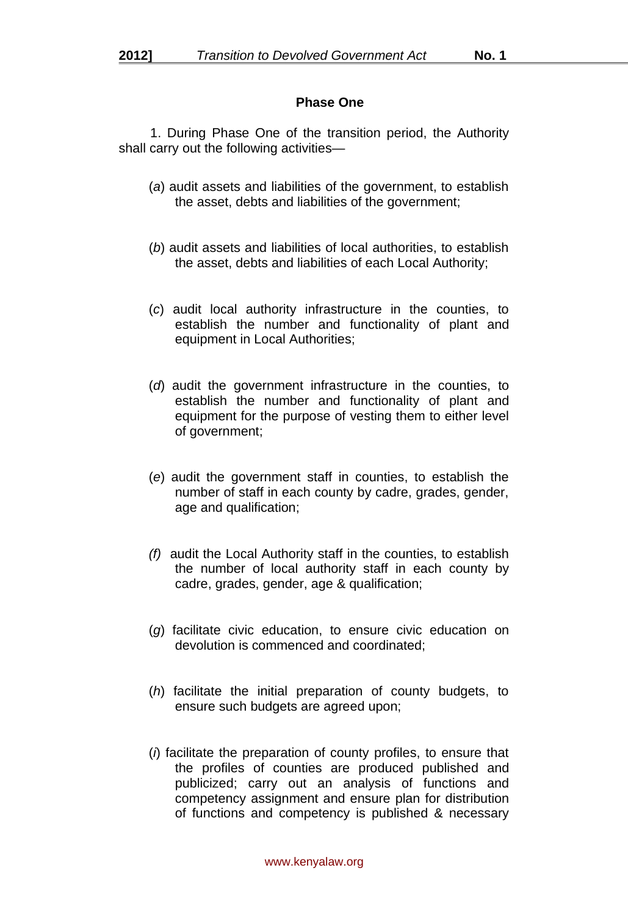## **Phase One**

1. During Phase One of the transition period, the Authority shall carry out the following activities—

- (*a*) audit assets and liabilities of the government, to establish the asset, debts and liabilities of the government;
- (*b*) audit assets and liabilities of local authorities, to establish the asset, debts and liabilities of each Local Authority;
- (*c*) audit local authority infrastructure in the counties, to establish the number and functionality of plant and equipment in Local Authorities;
- (*d*) audit the government infrastructure in the counties, to establish the number and functionality of plant and equipment for the purpose of vesting them to either level of government;
- (*e*) audit the government staff in counties, to establish the number of staff in each county by cadre, grades, gender, age and qualification;
- *(f)* audit the Local Authority staff in the counties, to establish the number of local authority staff in each county by cadre, grades, gender, age & qualification;
- (*g*) facilitate civic education, to ensure civic education on devolution is commenced and coordinated;
- (*h*) facilitate the initial preparation of county budgets, to ensure such budgets are agreed upon;
- (*i*) facilitate the preparation of county profiles, to ensure that the profiles of counties are produced published and publicized; carry out an analysis of functions and competency assignment and ensure plan for distribution of functions and competency is published & necessary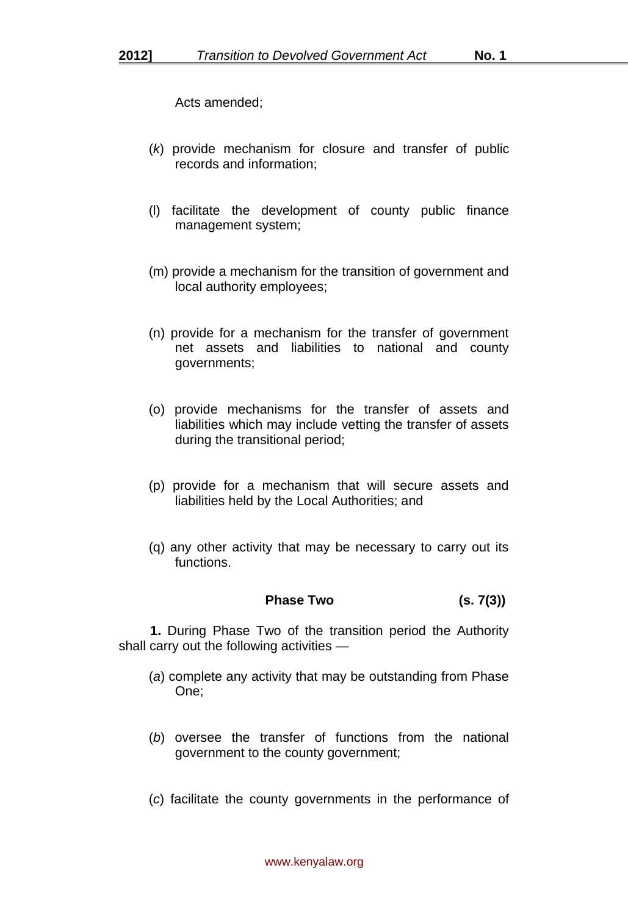Acts amended;

- (*k*) provide mechanism for closure and transfer of public records and information;
- (l) facilitate the development of county public finance management system;
- (m) provide a mechanism for the transition of government and local authority employees;
- (n) provide for a mechanism for the transfer of government net assets and liabilities to national and county governments;
- (o) provide mechanisms for the transfer of assets and liabilities which may include vetting the transfer of assets during the transitional period;
- (p) provide for a mechanism that will secure assets and liabilities held by the Local Authorities; and
- (q) any other activity that may be necessary to carry out its functions.

# **Phase Two (s. 7(3))**

**1.** During Phase Two of the transition period the Authority shall carry out the following activities —

- (*a*) complete any activity that may be outstanding from Phase One;
- (*b*) oversee the transfer of functions from the national government to the county government;
- (*c*) facilitate the county governments in the performance of